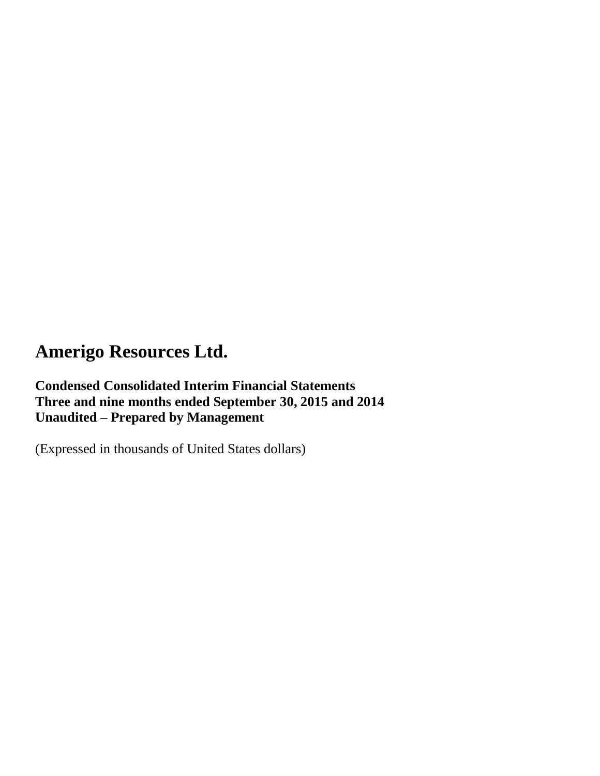**Condensed Consolidated Interim Financial Statements Three and nine months ended September 30, 2015 and 2014 Unaudited – Prepared by Management**

(Expressed in thousands of United States dollars)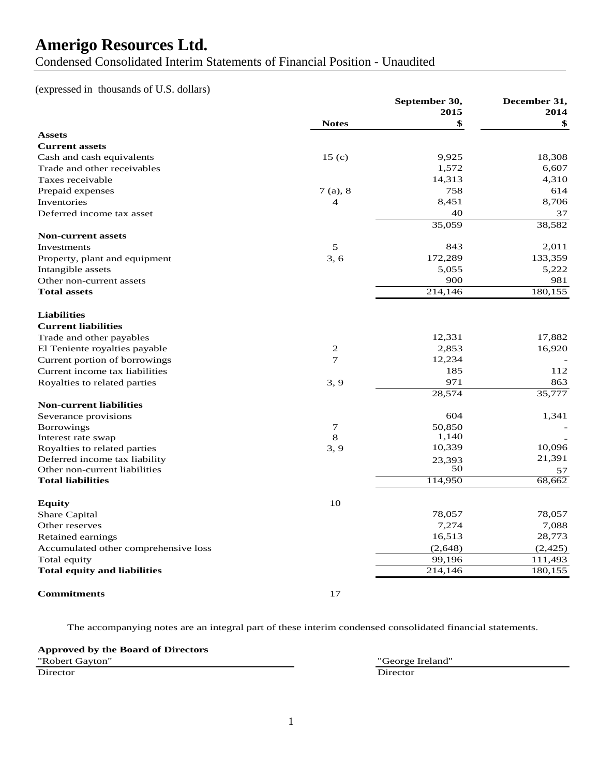Condensed Consolidated Interim Statements of Financial Position - Unaudited

### (expressed in thousands of U.S. dollars)

|                                      |                   | September 30, | December 31, |
|--------------------------------------|-------------------|---------------|--------------|
|                                      |                   | 2015          | 2014         |
|                                      | <b>Notes</b>      | \$            | \$           |
| <b>Assets</b>                        |                   |               |              |
| <b>Current assets</b>                |                   |               |              |
| Cash and cash equivalents            | 15 <sub>(c)</sub> | 9,925         | 18,308       |
| Trade and other receivables          |                   | 1,572         | 6,607        |
| Taxes receivable                     |                   | 14,313        | 4,310        |
| Prepaid expenses                     | 7(a), 8           | 758           | 614          |
| Inventories                          | $\overline{4}$    | 8,451         | 8,706        |
| Deferred income tax asset            |                   | 40            | 37           |
|                                      |                   | 35,059        | 38,582       |
| <b>Non-current assets</b>            |                   |               |              |
| Investments                          | 5                 | 843           | 2,011        |
| Property, plant and equipment        | 3, 6              | 172,289       | 133,359      |
| Intangible assets                    |                   | 5,055         | 5,222        |
| Other non-current assets             |                   | 900           | 981          |
| <b>Total assets</b>                  |                   | 214,146       | 180,155      |
|                                      |                   |               |              |
| <b>Liabilities</b>                   |                   |               |              |
| <b>Current liabilities</b>           |                   |               |              |
| Trade and other payables             |                   | 12,331        | 17,882       |
| El Teniente royalties payable        | 2                 | 2,853         | 16,920       |
| Current portion of borrowings        | $\overline{7}$    | 12,234        |              |
| Current income tax liabilities       |                   | 185           | 112          |
| Royalties to related parties         | 3, 9              | 971           | 863          |
|                                      |                   | 28,574        | 35,777       |
| <b>Non-current liabilities</b>       |                   |               |              |
| Severance provisions                 |                   | 604           | 1,341        |
| <b>Borrowings</b>                    | $\tau$            | 50,850        |              |
| Interest rate swap                   | 8                 | 1,140         |              |
| Royalties to related parties         | 3, 9              | 10,339        | 10,096       |
| Deferred income tax liability        |                   | 23,393        | 21,391       |
| Other non-current liabilities        |                   | 50            | 57           |
| <b>Total liabilities</b>             |                   | 114,950       | 68,662       |
|                                      |                   |               |              |
| <b>Equity</b>                        | 10                |               |              |
| Share Capital                        |                   | 78,057        | 78,057       |
| Other reserves                       |                   | 7,274         | 7,088        |
| Retained earnings                    |                   | 16,513        | 28,773       |
| Accumulated other comprehensive loss |                   | (2, 648)      | (2, 425)     |
| Total equity                         |                   | 99,196        | 111,493      |
| <b>Total equity and liabilities</b>  |                   | 214,146       | 180,155      |
|                                      |                   |               |              |
| <b>Commitments</b>                   | 17                |               |              |

The accompanying notes are an integral part of these interim condensed consolidated financial statements.

#### **Approved by the Board of Directors**

"Robert Gayton" "George Ireland" Director Director Director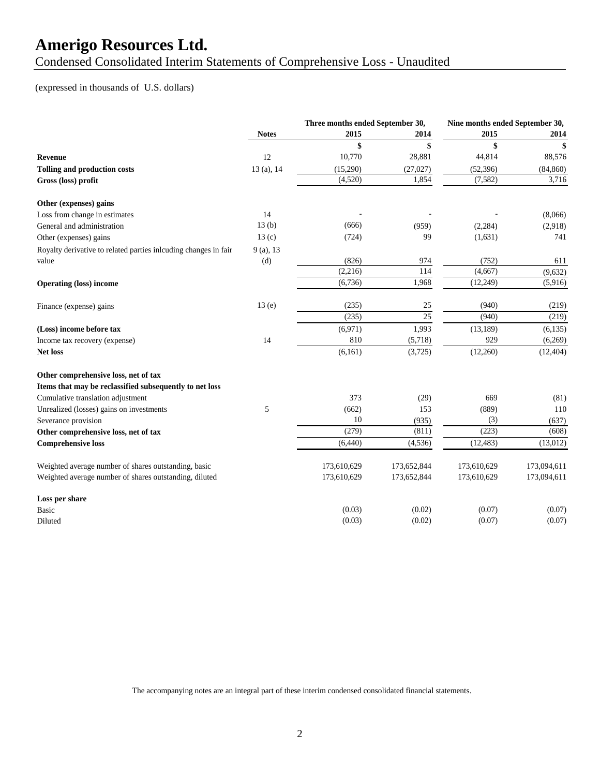Condensed Consolidated Interim Statements of Comprehensive Loss - Unaudited

### (expressed in thousands of U.S. dollars)

|                                                                 | Three months ended September 30, |             |                 |             | Nine months ended September 30, |  |
|-----------------------------------------------------------------|----------------------------------|-------------|-----------------|-------------|---------------------------------|--|
|                                                                 | <b>Notes</b>                     | 2015        | 2014            | 2015        | 2014                            |  |
|                                                                 |                                  | \$          | \$              | \$          | \$                              |  |
| Revenue                                                         | 12                               | 10,770      | 28,881          | 44,814      | 88,576                          |  |
| <b>Tolling and production costs</b>                             | 13 (a), 14                       | (15,290)    | (27,027)        | (52, 396)   | (84, 860)                       |  |
| Gross (loss) profit                                             |                                  | (4,520)     | 1,854           | (7,582)     | 3,716                           |  |
| Other (expenses) gains                                          |                                  |             |                 |             |                                 |  |
| Loss from change in estimates                                   | 14                               |             |                 |             | (8,066)                         |  |
| General and administration                                      | 13(b)                            | (666)       | (959)           | (2, 284)    | (2,918)                         |  |
| Other (expenses) gains                                          | 13(c)                            | (724)       | 99              | (1,631)     | 741                             |  |
| Royalty derivative to related parties inlcuding changes in fair | 9(a), 13                         |             |                 |             |                                 |  |
| value                                                           | (d)                              | (826)       | 974             | (752)       | 611                             |  |
|                                                                 |                                  | (2,216)     | 114             | (4,667)     | (9,632)                         |  |
| <b>Operating (loss) income</b>                                  |                                  | (6,736)     | 1,968           | (12, 249)   | (5,916)                         |  |
| Finance (expense) gains                                         | 13(e)                            | (235)       | 25              | (940)       | (219)                           |  |
|                                                                 |                                  | (235)       | $\overline{25}$ | (940)       | (219)                           |  |
| (Loss) income before tax                                        |                                  | (6,971)     | 1,993           | (13, 189)   | (6,135)                         |  |
| Income tax recovery (expense)                                   | 14                               | 810         | (5,718)         | 929         | (6,269)                         |  |
| Net loss                                                        |                                  | (6, 161)    | (3,725)         | (12,260)    | (12, 404)                       |  |
| Other comprehensive loss, net of tax                            |                                  |             |                 |             |                                 |  |
| Items that may be reclassified subsequently to net loss         |                                  |             |                 |             |                                 |  |
| Cumulative translation adjustment                               |                                  | 373         | (29)            | 669         | (81)                            |  |
| Unrealized (losses) gains on investments                        | 5                                | (662)       | 153             | (889)       | 110                             |  |
| Severance provision                                             |                                  | 10          | (935)           | (3)         | (637)                           |  |
| Other comprehensive loss, net of tax                            |                                  | (279)       | (811)           | (223)       | (608)                           |  |
| <b>Comprehensive loss</b>                                       |                                  | (6,440)     | (4, 536)        | (12, 483)   | (13,012)                        |  |
| Weighted average number of shares outstanding, basic            |                                  | 173,610,629 | 173,652,844     | 173,610,629 | 173,094,611                     |  |
| Weighted average number of shares outstanding, diluted          |                                  | 173,610,629 | 173,652,844     | 173,610,629 | 173,094,611                     |  |
| Loss per share                                                  |                                  |             |                 |             |                                 |  |
| Basic                                                           |                                  | (0.03)      | (0.02)          | (0.07)      | (0.07)                          |  |
| Diluted                                                         |                                  | (0.03)      | (0.02)          | (0.07)      | (0.07)                          |  |

The accompanying notes are an integral part of these interim condensed consolidated financial statements.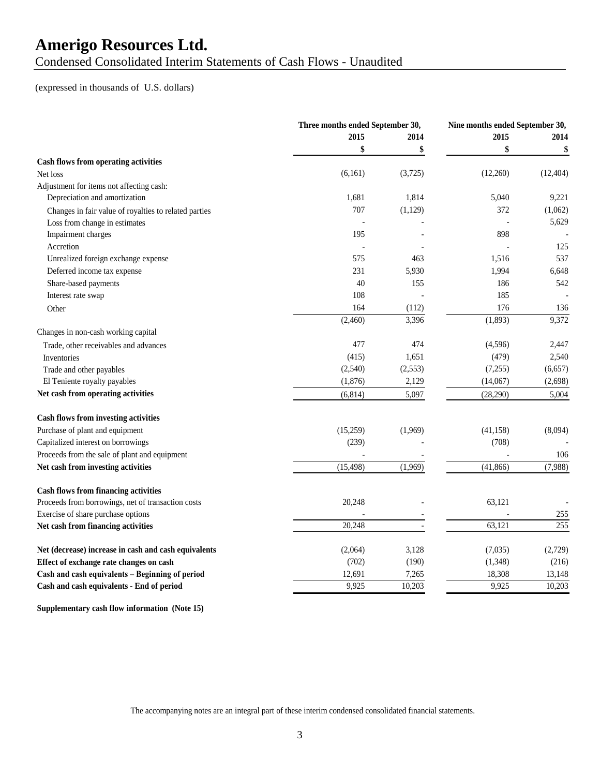Condensed Consolidated Interim Statements of Cash Flows - Unaudited

### (expressed in thousands of U.S. dollars)

|                                                       | Three months ended September 30, |          |           | Nine months ended September 30, |  |
|-------------------------------------------------------|----------------------------------|----------|-----------|---------------------------------|--|
|                                                       | 2015                             | 2014     |           | 2014                            |  |
|                                                       | \$                               | \$       |           | \$                              |  |
| Cash flows from operating activities                  |                                  |          |           |                                 |  |
| Net loss                                              | (6,161)                          | (3,725)  | (12,260)  | (12, 404)                       |  |
| Adjustment for items not affecting cash:              |                                  |          |           |                                 |  |
| Depreciation and amortization                         | 1,681                            | 1,814    | 5,040     | 9,221                           |  |
| Changes in fair value of royalties to related parties | 707                              | (1,129)  | 372       | (1,062)                         |  |
| Loss from change in estimates                         |                                  |          |           | 5,629                           |  |
| Impairment charges                                    | 195                              |          | 898       |                                 |  |
| Accretion                                             |                                  |          |           | 125                             |  |
| Unrealized foreign exchange expense                   | 575                              | 463      | 1,516     | 537                             |  |
| Deferred income tax expense                           | 231                              | 5,930    | 1,994     | 6,648                           |  |
| Share-based payments                                  | 40                               | 155      | 186       | 542                             |  |
| Interest rate swap                                    | 108                              |          | 185       |                                 |  |
| Other                                                 | 164                              | (112)    | 176       | 136                             |  |
|                                                       | (2,460)                          | 3,396    | (1,893)   | 9,372                           |  |
| Changes in non-cash working capital                   |                                  |          |           |                                 |  |
| Trade, other receivables and advances                 | 477                              | 474      | (4,596)   | 2,447                           |  |
| Inventories                                           | (415)                            | 1,651    | (479)     | 2,540                           |  |
| Trade and other payables                              | (2,540)                          | (2, 553) | (7,255)   | (6,657)                         |  |
| El Teniente royalty payables                          | (1,876)                          | 2,129    | (14,067)  | (2,698)                         |  |
| Net cash from operating activities                    | (6, 814)                         | 5,097    | (28, 290) | 5,004                           |  |
|                                                       |                                  |          |           |                                 |  |
| <b>Cash flows from investing activities</b>           |                                  |          |           |                                 |  |
| Purchase of plant and equipment                       | (15,259)                         | (1,969)  | (41, 158) | (8,094)                         |  |
| Capitalized interest on borrowings                    | (239)                            |          | (708)     |                                 |  |
| Proceeds from the sale of plant and equipment         |                                  |          |           | 106                             |  |
| Net cash from investing activities                    | (15, 498)                        | (1,969)  | (41, 866) | (7,988)                         |  |
|                                                       |                                  |          |           |                                 |  |
| <b>Cash flows from financing activities</b>           |                                  |          |           |                                 |  |
| Proceeds from borrowings, net of transaction costs    | 20,248                           |          | 63,121    |                                 |  |
| Exercise of share purchase options                    |                                  |          |           | 255                             |  |
| Net cash from financing activities                    | 20,248                           |          | 63,121    | 255                             |  |
| Net (decrease) increase in cash and cash equivalents  | (2,064)                          | 3,128    | (7,035)   | (2,729)                         |  |
| Effect of exchange rate changes on cash               | (702)                            | (190)    | (1, 348)  | (216)                           |  |
| Cash and cash equivalents - Beginning of period       | 12,691                           | 7,265    | 18,308    | 13,148                          |  |
| Cash and cash equivalents - End of period             | 9.925                            | 10,203   | 9,925     | 10,203                          |  |
|                                                       |                                  |          |           |                                 |  |

**Supplementary cash flow information (Note 15)**

The accompanying notes are an integral part of these interim condensed consolidated financial statements.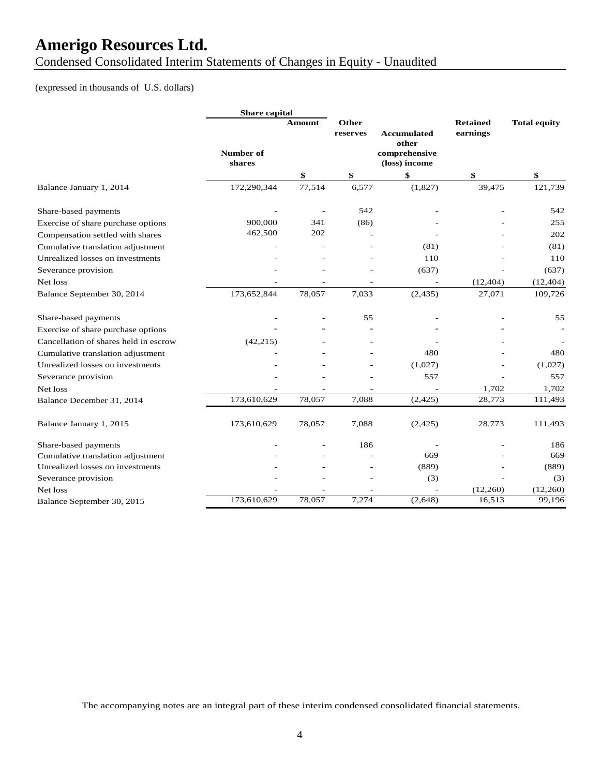Condensed Consolidated Interim Statements of Changes in Equity - Unaudited

### (expressed in thousands of U.S. dollars)

|                                       | <b>Share</b> capital |               |                   |                                         |                             |                     |
|---------------------------------------|----------------------|---------------|-------------------|-----------------------------------------|-----------------------------|---------------------|
|                                       |                      | <b>Amount</b> | Other<br>reserves | <b>Accumulated</b>                      | <b>Retained</b><br>earnings | <b>Total equity</b> |
|                                       | Number of<br>shares  |               |                   | other<br>comprehensive<br>(loss) income |                             |                     |
|                                       |                      | \$            | \$                | \$                                      | \$                          | \$                  |
| Balance January 1, 2014               | 172,290,344          | 77,514        | 6,577             | (1,827)                                 | 39,475                      | 121,739             |
| Share-based payments                  |                      |               | 542               |                                         |                             | 542                 |
| Exercise of share purchase options    | 900,000              | 341           | (86)              |                                         |                             | 255                 |
| Compensation settled with shares      | 462,500              | 202           |                   |                                         |                             | 202                 |
| Cumulative translation adjustment     |                      |               |                   | (81)                                    |                             | (81)                |
| Unrealized losses on investments      |                      |               |                   | 110                                     |                             | 110                 |
| Severance provision                   |                      |               |                   | (637)                                   |                             | (637)               |
| Net loss                              |                      |               |                   |                                         | (12, 404)                   | (12, 404)           |
| Balance September 30, 2014            | 173,652,844          | 78,057        | 7,033             | (2, 435)                                | 27,071                      | 109,726             |
| Share-based payments                  |                      |               | 55                |                                         |                             | 55                  |
| Exercise of share purchase options    |                      |               |                   |                                         |                             |                     |
| Cancellation of shares held in escrow | (42, 215)            |               |                   |                                         |                             |                     |
| Cumulative translation adjustment     |                      |               |                   | 480                                     |                             | 480                 |
| Unrealized losses on investments      |                      |               |                   | (1,027)                                 |                             | (1,027)             |
| Severance provision                   |                      |               |                   | 557                                     |                             | 557                 |
| Net loss                              |                      |               |                   |                                         | 1,702                       | 1,702               |
| Balance December 31, 2014             | 173,610,629          | 78,057        | 7,088             | (2, 425)                                | 28,773                      | 111,493             |
| Balance January 1, 2015               | 173,610,629          | 78,057        | 7,088             | (2, 425)                                | 28,773                      | 111,493             |
| Share-based payments                  |                      |               | 186               |                                         |                             | 186                 |
| Cumulative translation adjustment     |                      |               |                   | 669                                     |                             | 669                 |
| Unrealized losses on investments      |                      |               |                   | (889)                                   |                             | (889)               |
| Severance provision                   |                      |               |                   | (3)                                     |                             | (3)                 |
| Net loss                              |                      |               |                   |                                         | (12,260)                    | (12,260)            |
| Balance September 30, 2015            | 173,610,629          | 78,057        | 7,274             | (2, 648)                                | 16,513                      | 99,196              |

The accompanying notes are an integral part of these interim condensed consolidated financial statements.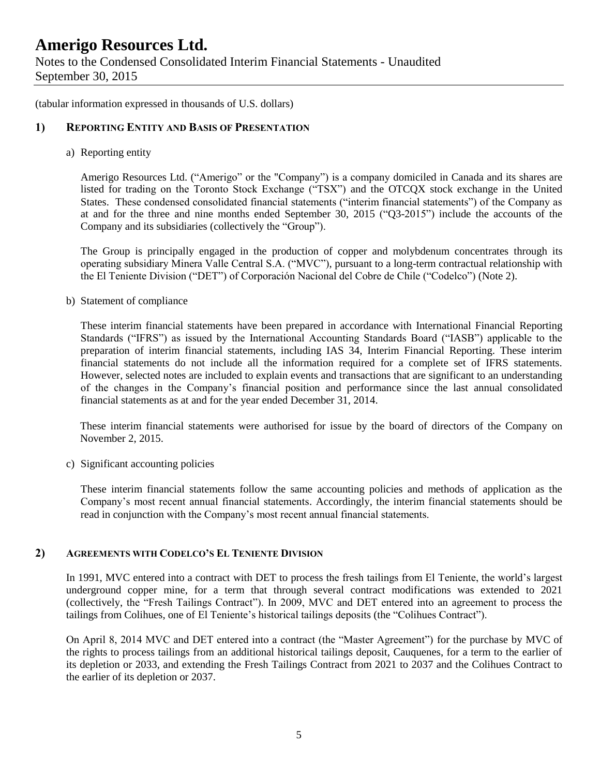(tabular information expressed in thousands of U.S. dollars)

### **1) REPORTING ENTITY AND BASIS OF PRESENTATION**

a) Reporting entity

Amerigo Resources Ltd. ("Amerigo" or the "Company") is a company domiciled in Canada and its shares are listed for trading on the Toronto Stock Exchange ("TSX") and the OTCQX stock exchange in the United States. These condensed consolidated financial statements ("interim financial statements") of the Company as at and for the three and nine months ended September 30, 2015 ("Q3-2015") include the accounts of the Company and its subsidiaries (collectively the "Group").

The Group is principally engaged in the production of copper and molybdenum concentrates through its operating subsidiary Minera Valle Central S.A. ("MVC"), pursuant to a long-term contractual relationship with the El Teniente Division ("DET") of Corporación Nacional del Cobre de Chile ("Codelco") (Note 2).

b) Statement of compliance

These interim financial statements have been prepared in accordance with International Financial Reporting Standards ("IFRS") as issued by the International Accounting Standards Board ("IASB") applicable to the preparation of interim financial statements, including IAS 34, Interim Financial Reporting. These interim financial statements do not include all the information required for a complete set of IFRS statements. However, selected notes are included to explain events and transactions that are significant to an understanding of the changes in the Company's financial position and performance since the last annual consolidated financial statements as at and for the year ended December 31, 2014.

These interim financial statements were authorised for issue by the board of directors of the Company on November 2, 2015.

c) Significant accounting policies

These interim financial statements follow the same accounting policies and methods of application as the Company's most recent annual financial statements. Accordingly, the interim financial statements should be read in conjunction with the Company's most recent annual financial statements.

### **2) AGREEMENTS WITH CODELCO'S EL TENIENTE DIVISION**

In 1991, MVC entered into a contract with DET to process the fresh tailings from El Teniente, the world's largest underground copper mine, for a term that through several contract modifications was extended to 2021 (collectively, the "Fresh Tailings Contract"). In 2009, MVC and DET entered into an agreement to process the tailings from Colihues, one of El Teniente's historical tailings deposits (the "Colihues Contract").

On April 8, 2014 MVC and DET entered into a contract (the "Master Agreement") for the purchase by MVC of the rights to process tailings from an additional historical tailings deposit, Cauquenes, for a term to the earlier of its depletion or 2033, and extending the Fresh Tailings Contract from 2021 to 2037 and the Colihues Contract to the earlier of its depletion or 2037.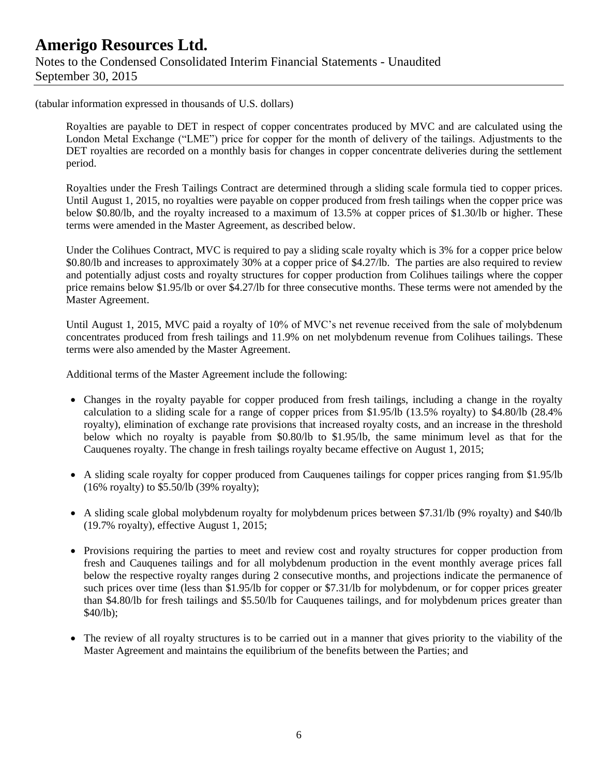### **Amerigo Resources Ltd.** Notes to the Condensed Consolidated Interim Financial Statements - Unaudited September 30, 2015

(tabular information expressed in thousands of U.S. dollars)

Royalties are payable to DET in respect of copper concentrates produced by MVC and are calculated using the London Metal Exchange ("LME") price for copper for the month of delivery of the tailings. Adjustments to the DET royalties are recorded on a monthly basis for changes in copper concentrate deliveries during the settlement period.

Royalties under the Fresh Tailings Contract are determined through a sliding scale formula tied to copper prices. Until August 1, 2015, no royalties were payable on copper produced from fresh tailings when the copper price was below \$0.80/lb, and the royalty increased to a maximum of 13.5% at copper prices of \$1.30/lb or higher. These terms were amended in the Master Agreement, as described below.

Under the Colihues Contract, MVC is required to pay a sliding scale royalty which is 3% for a copper price below \$0.80/lb and increases to approximately 30% at a copper price of \$4.27/lb. The parties are also required to review and potentially adjust costs and royalty structures for copper production from Colihues tailings where the copper price remains below \$1.95/lb or over \$4.27/lb for three consecutive months. These terms were not amended by the Master Agreement.

Until August 1, 2015, MVC paid a royalty of 10% of MVC's net revenue received from the sale of molybdenum concentrates produced from fresh tailings and 11.9% on net molybdenum revenue from Colihues tailings. These terms were also amended by the Master Agreement.

Additional terms of the Master Agreement include the following:

- Changes in the royalty payable for copper produced from fresh tailings, including a change in the royalty calculation to a sliding scale for a range of copper prices from \$1.95/lb (13.5% royalty) to \$4.80/lb (28.4% royalty), elimination of exchange rate provisions that increased royalty costs, and an increase in the threshold below which no royalty is payable from \$0.80/lb to \$1.95/lb, the same minimum level as that for the Cauquenes royalty. The change in fresh tailings royalty became effective on August 1, 2015;
- A sliding scale royalty for copper produced from Cauquenes tailings for copper prices ranging from \$1.95/lb (16% royalty) to \$5.50/lb (39% royalty);
- A sliding scale global molybdenum royalty for molybdenum prices between \$7.31/lb (9% royalty) and \$40/lb (19.7% royalty), effective August 1, 2015;
- Provisions requiring the parties to meet and review cost and royalty structures for copper production from fresh and Cauquenes tailings and for all molybdenum production in the event monthly average prices fall below the respective royalty ranges during 2 consecutive months, and projections indicate the permanence of such prices over time (less than \$1.95/lb for copper or \$7.31/lb for molybdenum, or for copper prices greater than \$4.80/lb for fresh tailings and \$5.50/lb for Cauquenes tailings, and for molybdenum prices greater than \$40/lb);
- The review of all royalty structures is to be carried out in a manner that gives priority to the viability of the Master Agreement and maintains the equilibrium of the benefits between the Parties; and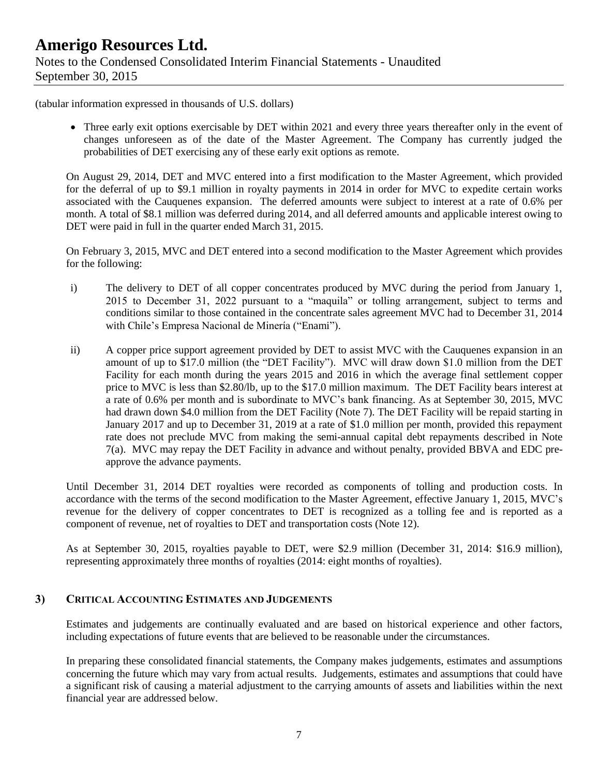(tabular information expressed in thousands of U.S. dollars)

• Three early exit options exercisable by DET within 2021 and every three years thereafter only in the event of changes unforeseen as of the date of the Master Agreement. The Company has currently judged the probabilities of DET exercising any of these early exit options as remote.

On August 29, 2014, DET and MVC entered into a first modification to the Master Agreement, which provided for the deferral of up to \$9.1 million in royalty payments in 2014 in order for MVC to expedite certain works associated with the Cauquenes expansion. The deferred amounts were subject to interest at a rate of 0.6% per month. A total of \$8.1 million was deferred during 2014, and all deferred amounts and applicable interest owing to DET were paid in full in the quarter ended March 31, 2015.

On February 3, 2015, MVC and DET entered into a second modification to the Master Agreement which provides for the following:

- i) The delivery to DET of all copper concentrates produced by MVC during the period from January 1, 2015 to December 31, 2022 pursuant to a "maquila" or tolling arrangement, subject to terms and conditions similar to those contained in the concentrate sales agreement MVC had to December 31, 2014 with Chile's Empresa Nacional de Minería ("Enami").
- ii) A copper price support agreement provided by DET to assist MVC with the Cauquenes expansion in an amount of up to \$17.0 million (the "DET Facility"). MVC will draw down \$1.0 million from the DET Facility for each month during the years 2015 and 2016 in which the average final settlement copper price to MVC is less than \$2.80/lb, up to the \$17.0 million maximum. The DET Facility bears interest at a rate of 0.6% per month and is subordinate to MVC's bank financing. As at September 30, 2015, MVC had drawn down \$4.0 million from the DET Facility (Note 7). The DET Facility will be repaid starting in January 2017 and up to December 31, 2019 at a rate of \$1.0 million per month, provided this repayment rate does not preclude MVC from making the semi-annual capital debt repayments described in Note 7(a). MVC may repay the DET Facility in advance and without penalty, provided BBVA and EDC preapprove the advance payments.

Until December 31, 2014 DET royalties were recorded as components of tolling and production costs. In accordance with the terms of the second modification to the Master Agreement, effective January 1, 2015, MVC's revenue for the delivery of copper concentrates to DET is recognized as a tolling fee and is reported as a component of revenue, net of royalties to DET and transportation costs (Note 12).

As at September 30, 2015, royalties payable to DET, were \$2.9 million (December 31, 2014: \$16.9 million), representing approximately three months of royalties (2014: eight months of royalties).

### **3) CRITICAL ACCOUNTING ESTIMATES AND JUDGEMENTS**

Estimates and judgements are continually evaluated and are based on historical experience and other factors, including expectations of future events that are believed to be reasonable under the circumstances.

In preparing these consolidated financial statements, the Company makes judgements, estimates and assumptions concerning the future which may vary from actual results. Judgements, estimates and assumptions that could have a significant risk of causing a material adjustment to the carrying amounts of assets and liabilities within the next financial year are addressed below.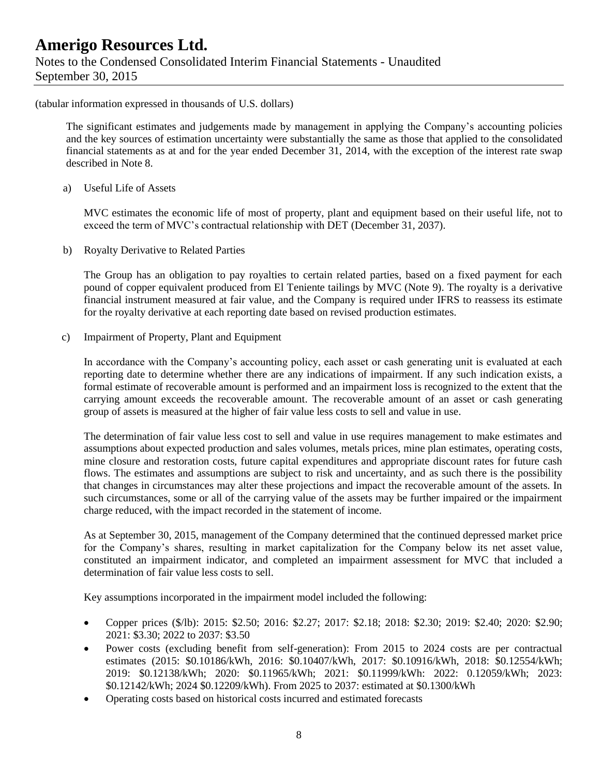### **Amerigo Resources Ltd.** Notes to the Condensed Consolidated Interim Financial Statements - Unaudited September 30, 2015

(tabular information expressed in thousands of U.S. dollars)

The significant estimates and judgements made by management in applying the Company's accounting policies and the key sources of estimation uncertainty were substantially the same as those that applied to the consolidated financial statements as at and for the year ended December 31, 2014, with the exception of the interest rate swap described in Note 8.

a) Useful Life of Assets

MVC estimates the economic life of most of property, plant and equipment based on their useful life, not to exceed the term of MVC's contractual relationship with DET (December 31, 2037).

b) Royalty Derivative to Related Parties

The Group has an obligation to pay royalties to certain related parties, based on a fixed payment for each pound of copper equivalent produced from El Teniente tailings by MVC (Note 9). The royalty is a derivative financial instrument measured at fair value, and the Company is required under IFRS to reassess its estimate for the royalty derivative at each reporting date based on revised production estimates.

c) Impairment of Property, Plant and Equipment

In accordance with the Company's accounting policy, each asset or cash generating unit is evaluated at each reporting date to determine whether there are any indications of impairment. If any such indication exists, a formal estimate of recoverable amount is performed and an impairment loss is recognized to the extent that the carrying amount exceeds the recoverable amount. The recoverable amount of an asset or cash generating group of assets is measured at the higher of fair value less costs to sell and value in use.

The determination of fair value less cost to sell and value in use requires management to make estimates and assumptions about expected production and sales volumes, metals prices, mine plan estimates, operating costs, mine closure and restoration costs, future capital expenditures and appropriate discount rates for future cash flows. The estimates and assumptions are subject to risk and uncertainty, and as such there is the possibility that changes in circumstances may alter these projections and impact the recoverable amount of the assets. In such circumstances, some or all of the carrying value of the assets may be further impaired or the impairment charge reduced, with the impact recorded in the statement of income.

As at September 30, 2015, management of the Company determined that the continued depressed market price for the Company's shares, resulting in market capitalization for the Company below its net asset value, constituted an impairment indicator, and completed an impairment assessment for MVC that included a determination of fair value less costs to sell.

Key assumptions incorporated in the impairment model included the following:

- Copper prices (\$/lb): 2015: \$2.50; 2016: \$2.27; 2017: \$2.18; 2018: \$2.30; 2019: \$2.40; 2020: \$2.90; 2021: \$3.30; 2022 to 2037: \$3.50
- Power costs (excluding benefit from self-generation): From 2015 to 2024 costs are per contractual estimates (2015: \$0.10186/kWh, 2016: \$0.10407/kWh, 2017: \$0.10916/kWh, 2018: \$0.12554/kWh; 2019: \$0.12138/kWh; 2020: \$0.11965/kWh; 2021: \$0.11999/kWh: 2022: 0.12059/kWh; 2023: \$0.12142/kWh; 2024 \$0.12209/kWh). From 2025 to 2037: estimated at \$0.1300/kWh
- Operating costs based on historical costs incurred and estimated forecasts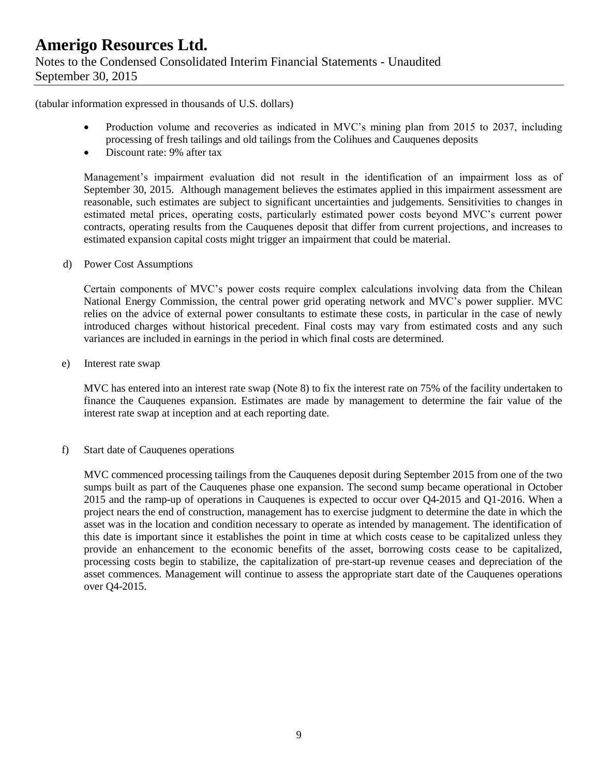(tabular information expressed in thousands of U.S. dollars)

- Production volume and recoveries as indicated in MVC's mining plan from 2015 to 2037, including processing of fresh tailings and old tailings from the Colihues and Cauquenes deposits
- Discount rate: 9% after tax

Management's impairment evaluation did not result in the identification of an impairment loss as of September 30, 2015. Although management believes the estimates applied in this impairment assessment are reasonable, such estimates are subject to significant uncertainties and judgements. Sensitivities to changes in estimated metal prices, operating costs, particularly estimated power costs beyond MVC's current power contracts, operating results from the Cauquenes deposit that differ from current projections, and increases to estimated expansion capital costs might trigger an impairment that could be material.

d) Power Cost Assumptions

Certain components of MVC's power costs require complex calculations involving data from the Chilean National Energy Commission, the central power grid operating network and MVC's power supplier. MVC relies on the advice of external power consultants to estimate these costs, in particular in the case of newly introduced charges without historical precedent. Final costs may vary from estimated costs and any such variances are included in earnings in the period in which final costs are determined.

e) Interest rate swap

MVC has entered into an interest rate swap (Note 8) to fix the interest rate on 75% of the facility undertaken to finance the Cauquenes expansion. Estimates are made by management to determine the fair value of the interest rate swap at inception and at each reporting date.

f) Start date of Cauquenes operations

MVC commenced processing tailings from the Cauquenes deposit during September 2015 from one of the two sumps built as part of the Cauquenes phase one expansion. The second sump became operational in October 2015 and the ramp-up of operations in Cauquenes is expected to occur over Q4-2015 and Q1-2016. When a project nears the end of construction, management has to exercise judgment to determine the date in which the asset was in the location and condition necessary to operate as intended by management. The identification of this date is important since it establishes the point in time at which costs cease to be capitalized unless they provide an enhancement to the economic benefits of the asset, borrowing costs cease to be capitalized, processing costs begin to stabilize, the capitalization of pre-start-up revenue ceases and depreciation of the asset commences. Management will continue to assess the appropriate start date of the Cauquenes operations over Q4-2015.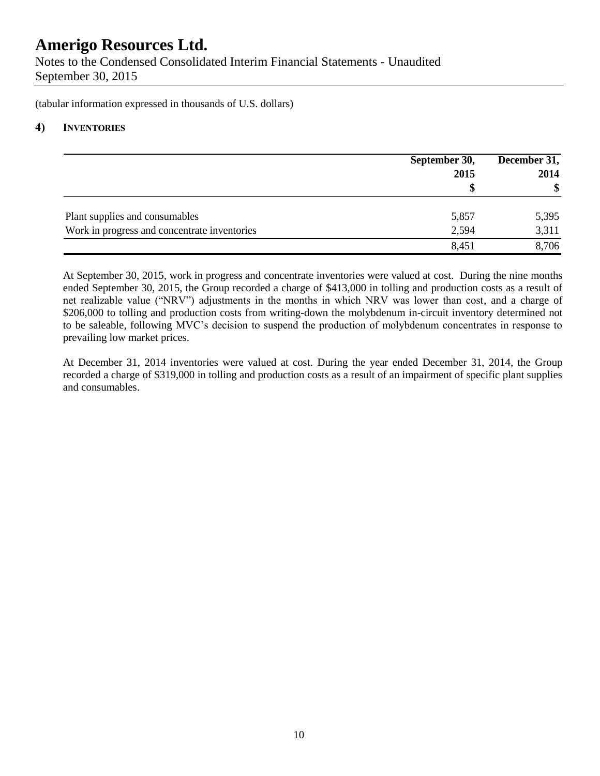Notes to the Condensed Consolidated Interim Financial Statements - Unaudited September 30, 2015

(tabular information expressed in thousands of U.S. dollars)

### **4) INVENTORIES**

|                                              | September 30,<br>2015 | December 31,<br>2014<br>\$ |
|----------------------------------------------|-----------------------|----------------------------|
| Plant supplies and consumables               | 5,857                 | 5,395                      |
| Work in progress and concentrate inventories | 2,594                 | 3,311                      |
|                                              | 8,451                 | 8,706                      |

At September 30, 2015, work in progress and concentrate inventories were valued at cost. During the nine months ended September 30, 2015, the Group recorded a charge of \$413,000 in tolling and production costs as a result of net realizable value ("NRV") adjustments in the months in which NRV was lower than cost, and a charge of \$206,000 to tolling and production costs from writing-down the molybdenum in-circuit inventory determined not to be saleable, following MVC's decision to suspend the production of molybdenum concentrates in response to prevailing low market prices.

At December 31, 2014 inventories were valued at cost. During the year ended December 31, 2014, the Group recorded a charge of \$319,000 in tolling and production costs as a result of an impairment of specific plant supplies and consumables.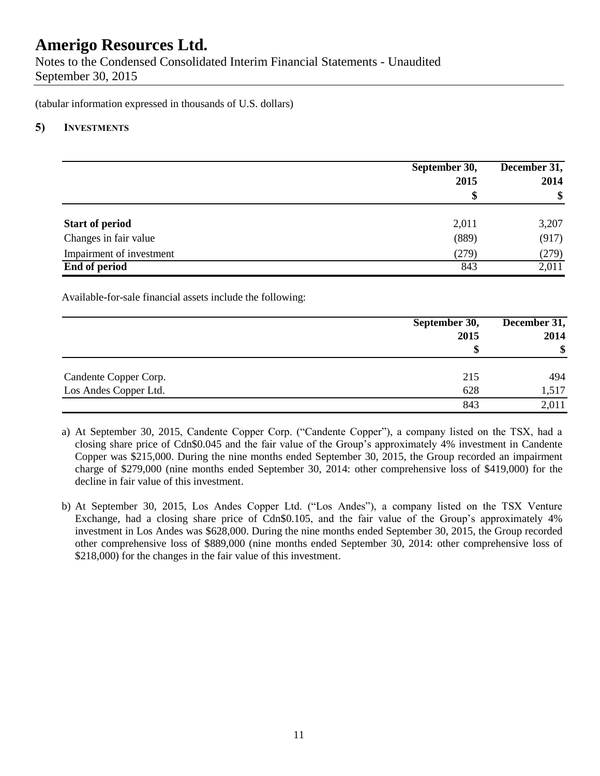Notes to the Condensed Consolidated Interim Financial Statements - Unaudited September 30, 2015

(tabular information expressed in thousands of U.S. dollars)

### **5) INVESTMENTS**

|                          | September 30,<br>2015<br>\$ | December 31,<br>2014<br>\$ |
|--------------------------|-----------------------------|----------------------------|
| <b>Start of period</b>   | 2,011                       | 3,207                      |
| Changes in fair value    | (889)                       | (917)                      |
| Impairment of investment | (279)                       | (279)                      |
| End of period            | 843                         | 2,011                      |

Available-for-sale financial assets include the following:

|                       | September 30, | December 31,      |  |
|-----------------------|---------------|-------------------|--|
|                       | 2015          | 2014              |  |
|                       | \$            | $\boldsymbol{\$}$ |  |
| Candente Copper Corp. | 215           | 494               |  |
| Los Andes Copper Ltd. | 628           | 1,517             |  |
|                       | 843           | 2,011             |  |

- a) At September 30, 2015, Candente Copper Corp. ("Candente Copper"), a company listed on the TSX, had a closing share price of Cdn\$0.045 and the fair value of the Group's approximately 4% investment in Candente Copper was \$215,000. During the nine months ended September 30, 2015, the Group recorded an impairment charge of \$279,000 (nine months ended September 30, 2014: other comprehensive loss of \$419,000) for the decline in fair value of this investment.
- b) At September 30, 2015, Los Andes Copper Ltd. ("Los Andes"), a company listed on the TSX Venture Exchange, had a closing share price of Cdn\$0.105, and the fair value of the Group's approximately 4% investment in Los Andes was \$628,000. During the nine months ended September 30, 2015, the Group recorded other comprehensive loss of \$889,000 (nine months ended September 30, 2014: other comprehensive loss of \$218,000) for the changes in the fair value of this investment.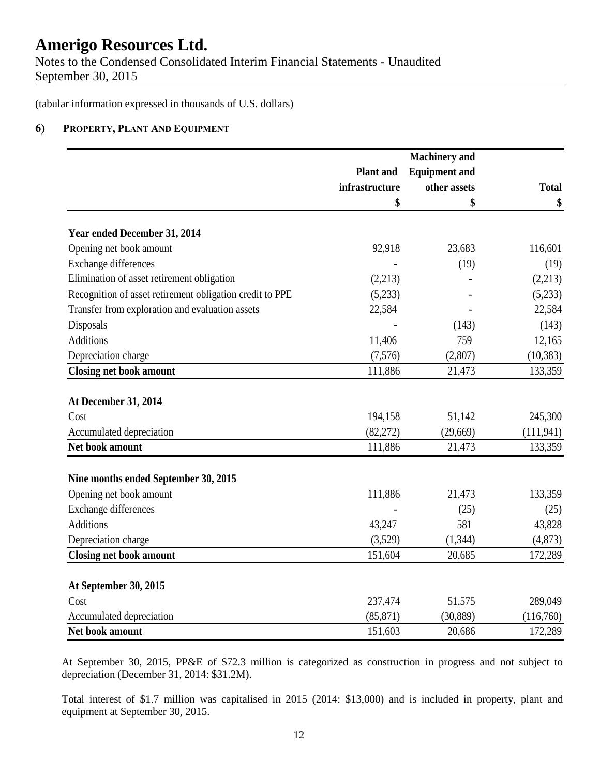Notes to the Condensed Consolidated Interim Financial Statements - Unaudited September 30, 2015

(tabular information expressed in thousands of U.S. dollars)

### **6) PROPERTY, PLANT AND EQUIPMENT**

|                                                          | <b>Machinery</b> and |                      |              |
|----------------------------------------------------------|----------------------|----------------------|--------------|
|                                                          | <b>Plant</b> and     | <b>Equipment and</b> |              |
|                                                          | infrastructure       | other assets         | <b>Total</b> |
|                                                          | \$                   | \$                   | \$           |
| Year ended December 31, 2014                             |                      |                      |              |
| Opening net book amount                                  | 92,918               | 23,683               | 116,601      |
| <b>Exchange differences</b>                              |                      | (19)                 | (19)         |
| Elimination of asset retirement obligation               | (2,213)              |                      | (2,213)      |
| Recognition of asset retirement obligation credit to PPE | (5,233)              |                      | (5,233)      |
| Transfer from exploration and evaluation assets          | 22,584               |                      | 22,584       |
| Disposals                                                |                      | (143)                | (143)        |
| <b>Additions</b>                                         | 11,406               | 759                  | 12,165       |
| Depreciation charge                                      | (7,576)              | (2,807)              | (10, 383)    |
| <b>Closing net book amount</b>                           | 111,886              | 21,473               | 133,359      |
| At December 31, 2014                                     |                      |                      |              |
| Cost                                                     | 194,158              | 51,142               | 245,300      |
| Accumulated depreciation                                 | (82,272)             | (29,669)             | (111, 941)   |
| Net book amount                                          | 111,886              | 21,473               | 133,359      |
|                                                          |                      |                      |              |
| Nine months ended September 30, 2015                     |                      |                      |              |
| Opening net book amount                                  | 111,886              | 21,473               | 133,359      |
| Exchange differences                                     |                      | (25)                 | (25)         |
| <b>Additions</b>                                         | 43,247               | 581                  | 43,828       |
| Depreciation charge                                      | (3,529)              | (1, 344)             | (4,873)      |
| <b>Closing net book amount</b>                           | 151,604              | 20,685               | 172,289      |
| At September 30, 2015                                    |                      |                      |              |
| Cost                                                     | 237,474              | 51,575               | 289,049      |
| Accumulated depreciation                                 | (85, 871)            | (30, 889)            | (116,760)    |
| Net book amount                                          | 151,603              | 20,686               | 172,289      |

At September 30, 2015, PP&E of \$72.3 million is categorized as construction in progress and not subject to depreciation (December 31, 2014: \$31.2M).

Total interest of \$1.7 million was capitalised in 2015 (2014: \$13,000) and is included in property, plant and equipment at September 30, 2015.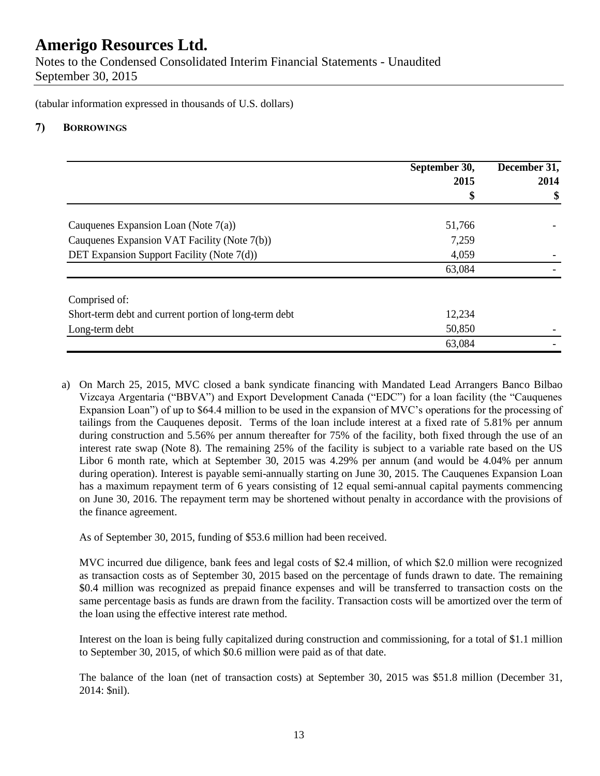Notes to the Condensed Consolidated Interim Financial Statements - Unaudited September 30, 2015

(tabular information expressed in thousands of U.S. dollars)

### **7) BORROWINGS**

|                                                       | September 30, | December 31, |
|-------------------------------------------------------|---------------|--------------|
|                                                       | 2015          | 2014         |
|                                                       | Φ             | \$           |
| Cauquenes Expansion Loan (Note $7(a)$ )               | 51,766        |              |
| Cauquenes Expansion VAT Facility (Note 7(b))          | 7,259         |              |
| DET Expansion Support Facility (Note 7(d))            | 4,059         |              |
|                                                       | 63,084        |              |
| Comprised of:                                         |               |              |
| Short-term debt and current portion of long-term debt | 12,234        |              |
| Long-term debt                                        | 50,850        |              |
|                                                       | 63,084        |              |

a) On March 25, 2015, MVC closed a bank syndicate financing with Mandated Lead Arrangers Banco Bilbao Vizcaya Argentaria ("BBVA") and Export Development Canada ("EDC") for a loan facility (the "Cauquenes Expansion Loan") of up to \$64.4 million to be used in the expansion of MVC's operations for the processing of tailings from the Cauquenes deposit. Terms of the loan include interest at a fixed rate of 5.81% per annum during construction and 5.56% per annum thereafter for 75% of the facility, both fixed through the use of an interest rate swap (Note 8). The remaining 25% of the facility is subject to a variable rate based on the US Libor 6 month rate, which at September 30, 2015 was 4.29% per annum (and would be 4.04% per annum during operation). Interest is payable semi-annually starting on June 30, 2015. The Cauquenes Expansion Loan has a maximum repayment term of 6 years consisting of 12 equal semi-annual capital payments commencing on June 30, 2016. The repayment term may be shortened without penalty in accordance with the provisions of the finance agreement.

As of September 30, 2015, funding of \$53.6 million had been received.

MVC incurred due diligence, bank fees and legal costs of \$2.4 million, of which \$2.0 million were recognized as transaction costs as of September 30, 2015 based on the percentage of funds drawn to date. The remaining \$0.4 million was recognized as prepaid finance expenses and will be transferred to transaction costs on the same percentage basis as funds are drawn from the facility. Transaction costs will be amortized over the term of the loan using the effective interest rate method.

Interest on the loan is being fully capitalized during construction and commissioning, for a total of \$1.1 million to September 30, 2015, of which \$0.6 million were paid as of that date.

The balance of the loan (net of transaction costs) at September 30, 2015 was \$51.8 million (December 31, 2014: \$nil).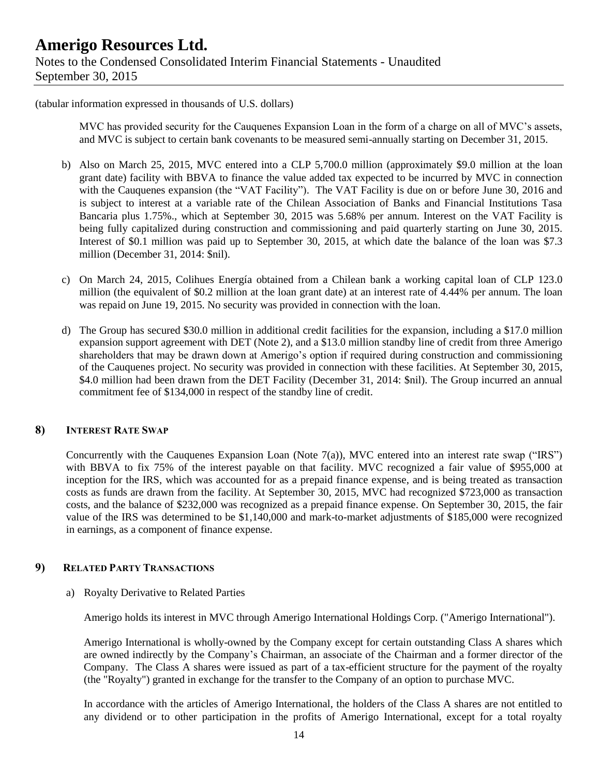(tabular information expressed in thousands of U.S. dollars)

MVC has provided security for the Cauquenes Expansion Loan in the form of a charge on all of MVC's assets, and MVC is subject to certain bank covenants to be measured semi-annually starting on December 31, 2015.

- b) Also on March 25, 2015, MVC entered into a CLP 5,700.0 million (approximately \$9.0 million at the loan grant date) facility with BBVA to finance the value added tax expected to be incurred by MVC in connection with the Cauquenes expansion (the "VAT Facility"). The VAT Facility is due on or before June 30, 2016 and is subject to interest at a variable rate of the Chilean Association of Banks and Financial Institutions Tasa Bancaria plus 1.75%., which at September 30, 2015 was 5.68% per annum. Interest on the VAT Facility is being fully capitalized during construction and commissioning and paid quarterly starting on June 30, 2015. Interest of \$0.1 million was paid up to September 30, 2015, at which date the balance of the loan was \$7.3 million (December 31, 2014: \$nil).
- c) On March 24, 2015, Colihues Energía obtained from a Chilean bank a working capital loan of CLP 123.0 million (the equivalent of \$0.2 million at the loan grant date) at an interest rate of 4.44% per annum. The loan was repaid on June 19, 2015. No security was provided in connection with the loan.
- d) The Group has secured \$30.0 million in additional credit facilities for the expansion, including a \$17.0 million expansion support agreement with DET (Note 2), and a \$13.0 million standby line of credit from three Amerigo shareholders that may be drawn down at Amerigo's option if required during construction and commissioning of the Cauquenes project. No security was provided in connection with these facilities. At September 30, 2015, \$4.0 million had been drawn from the DET Facility (December 31, 2014: \$nil). The Group incurred an annual commitment fee of \$134,000 in respect of the standby line of credit.

### **8) INTEREST RATE SWAP**

Concurrently with the Cauquenes Expansion Loan (Note 7(a)), MVC entered into an interest rate swap ("IRS") with BBVA to fix 75% of the interest payable on that facility. MVC recognized a fair value of \$955,000 at inception for the IRS, which was accounted for as a prepaid finance expense, and is being treated as transaction costs as funds are drawn from the facility. At September 30, 2015, MVC had recognized \$723,000 as transaction costs, and the balance of \$232,000 was recognized as a prepaid finance expense. On September 30, 2015, the fair value of the IRS was determined to be \$1,140,000 and mark-to-market adjustments of \$185,000 were recognized in earnings, as a component of finance expense.

### **9) RELATED PARTY TRANSACTIONS**

a) Royalty Derivative to Related Parties

Amerigo holds its interest in MVC through Amerigo International Holdings Corp. ("Amerigo International").

Amerigo International is wholly-owned by the Company except for certain outstanding Class A shares which are owned indirectly by the Company's Chairman, an associate of the Chairman and a former director of the Company. The Class A shares were issued as part of a tax-efficient structure for the payment of the royalty (the "Royalty") granted in exchange for the transfer to the Company of an option to purchase MVC.

In accordance with the articles of Amerigo International, the holders of the Class A shares are not entitled to any dividend or to other participation in the profits of Amerigo International, except for a total royalty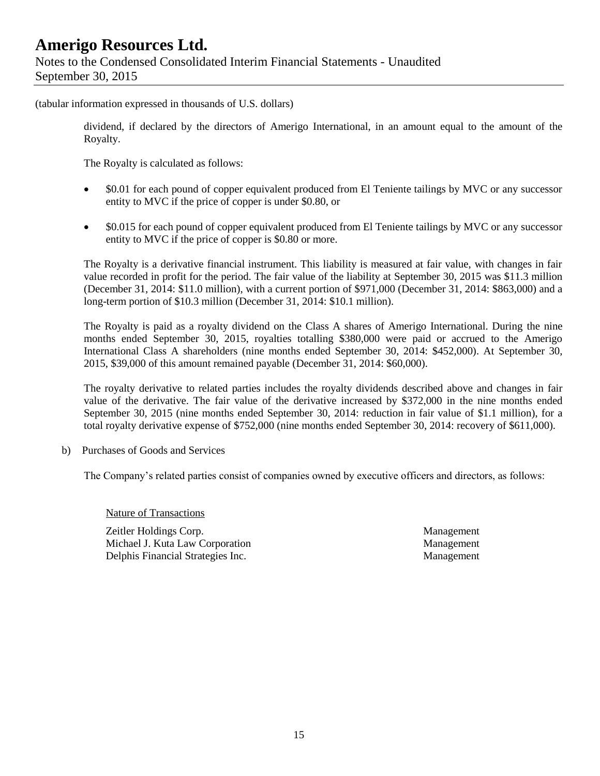### **Amerigo Resources Ltd.** Notes to the Condensed Consolidated Interim Financial Statements - Unaudited September 30, 2015

(tabular information expressed in thousands of U.S. dollars)

dividend, if declared by the directors of Amerigo International, in an amount equal to the amount of the Royalty.

The Royalty is calculated as follows:

- \$0.01 for each pound of copper equivalent produced from El Teniente tailings by MVC or any successor entity to MVC if the price of copper is under \$0.80, or
- \$0.015 for each pound of copper equivalent produced from El Teniente tailings by MVC or any successor entity to MVC if the price of copper is \$0.80 or more.

The Royalty is a derivative financial instrument. This liability is measured at fair value, with changes in fair value recorded in profit for the period. The fair value of the liability at September 30, 2015 was \$11.3 million (December 31, 2014: \$11.0 million), with a current portion of \$971,000 (December 31, 2014: \$863,000) and a long-term portion of \$10.3 million (December 31, 2014: \$10.1 million).

The Royalty is paid as a royalty dividend on the Class A shares of Amerigo International. During the nine months ended September 30, 2015, royalties totalling \$380,000 were paid or accrued to the Amerigo International Class A shareholders (nine months ended September 30, 2014: \$452,000). At September 30, 2015, \$39,000 of this amount remained payable (December 31, 2014: \$60,000).

The royalty derivative to related parties includes the royalty dividends described above and changes in fair value of the derivative. The fair value of the derivative increased by \$372,000 in the nine months ended September 30, 2015 (nine months ended September 30, 2014: reduction in fair value of \$1.1 million), for a total royalty derivative expense of \$752,000 (nine months ended September 30, 2014: recovery of \$611,000).

b) Purchases of Goods and Services

The Company's related parties consist of companies owned by executive officers and directors, as follows:

Nature of Transactions

Zeitler Holdings Corp. Management Michael J. Kuta Law Corporation **Management** Management Delphis Financial Strategies Inc. Management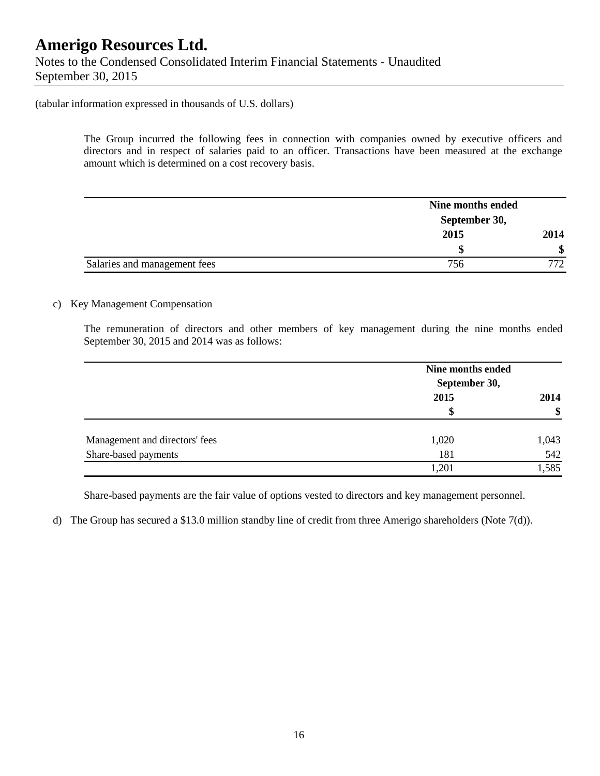Notes to the Condensed Consolidated Interim Financial Statements - Unaudited September 30, 2015

(tabular information expressed in thousands of U.S. dollars)

The Group incurred the following fees in connection with companies owned by executive officers and directors and in respect of salaries paid to an officer. Transactions have been measured at the exchange amount which is determined on a cost recovery basis.

|                              | Nine months ended |     |  |
|------------------------------|-------------------|-----|--|
|                              | September 30,     |     |  |
|                              | 2015              |     |  |
|                              |                   | \$  |  |
| Salaries and management fees | 756               | 772 |  |

### c) Key Management Compensation

The remuneration of directors and other members of key management during the nine months ended September 30, 2015 and 2014 was as follows:

|                                | Nine months ended<br>September 30, |       |
|--------------------------------|------------------------------------|-------|
|                                | 2015                               | 2014  |
|                                | S                                  | \$    |
| Management and directors' fees | 1,020                              | 1,043 |
| Share-based payments           | 181                                | 542   |
|                                | .201                               | 1,585 |

Share-based payments are the fair value of options vested to directors and key management personnel.

d) The Group has secured a \$13.0 million standby line of credit from three Amerigo shareholders (Note 7(d)).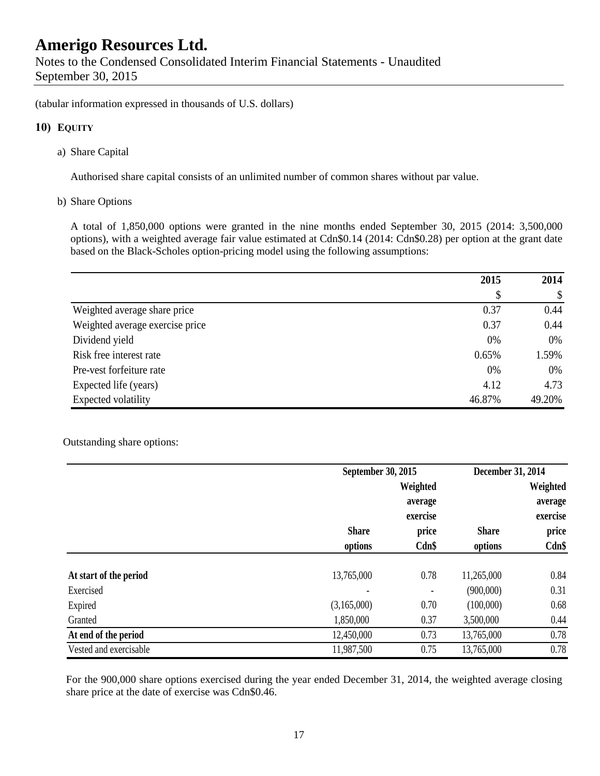(tabular information expressed in thousands of U.S. dollars)

### **10) EQUITY**

a) Share Capital

Authorised share capital consists of an unlimited number of common shares without par value.

b) Share Options

A total of 1,850,000 options were granted in the nine months ended September 30, 2015 (2014: 3,500,000 options), with a weighted average fair value estimated at Cdn\$0.14 (2014: Cdn\$0.28) per option at the grant date based on the Black-Scholes option-pricing model using the following assumptions:

|                                 | 2015   | 2014   |  |
|---------------------------------|--------|--------|--|
|                                 | \$     | \$     |  |
| Weighted average share price    | 0.37   | 0.44   |  |
| Weighted average exercise price | 0.37   | 0.44   |  |
| Dividend yield                  | 0%     | 0%     |  |
| Risk free interest rate         | 0.65%  | 1.59%  |  |
| Pre-vest forfeiture rate        | 0%     | 0%     |  |
| Expected life (years)           | 4.12   | 4.73   |  |
| Expected volatility             | 46.87% | 49.20% |  |

### Outstanding share options:

|                        |              | September 30, 2015           |              |          |
|------------------------|--------------|------------------------------|--------------|----------|
|                        |              | Weighted                     |              | Weighted |
|                        |              | average                      |              | average  |
|                        |              | exercise                     |              | exercise |
|                        | <b>Share</b> | price                        | <b>Share</b> | price    |
|                        | options      | Cdn\$                        | options      | $Cdn$ \$ |
| At start of the period | 13,765,000   | 0.78                         | 11,265,000   | 0.84     |
| Exercised              |              | $\qquad \qquad \blacksquare$ | (900,000)    | 0.31     |
| Expired                | (3,165,000)  | 0.70                         | (100,000)    | 0.68     |
| Granted                | 1,850,000    | 0.37                         | 3,500,000    | 0.44     |
| At end of the period   | 12,450,000   | 0.73                         | 13,765,000   | 0.78     |
| Vested and exercisable | 11,987,500   | 0.75                         | 13,765,000   | 0.78     |

For the 900,000 share options exercised during the year ended December 31, 2014, the weighted average closing share price at the date of exercise was Cdn\$0.46.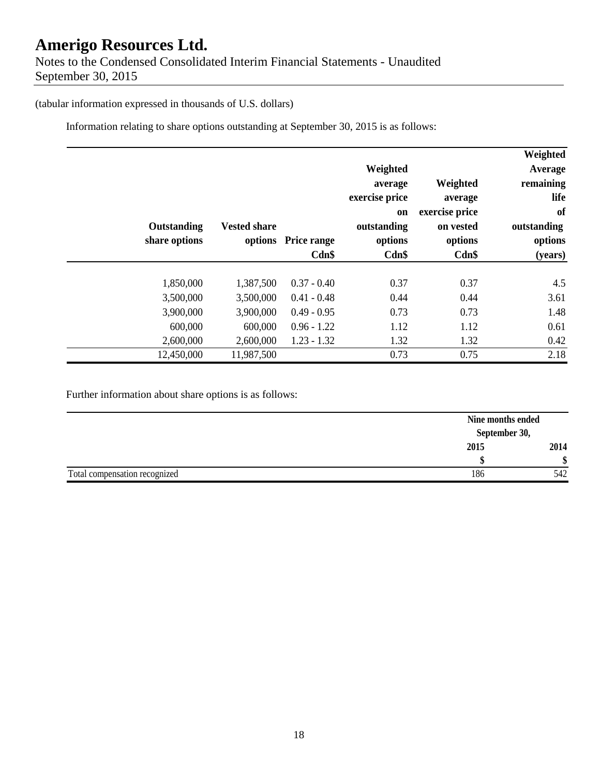### **Amerigo Resources Ltd.** Notes to the Condensed Consolidated Interim Financial Statements - Unaudited September 30, 2015

(tabular information expressed in thousands of U.S. dollars)

Information relating to share options outstanding at September 30, 2015 is as follows:

|               |                     |                     |                |                | Weighted    |
|---------------|---------------------|---------------------|----------------|----------------|-------------|
|               |                     |                     | Weighted       |                | Average     |
|               |                     |                     | average        | Weighted       | remaining   |
|               |                     |                     | exercise price | average        | life        |
|               |                     |                     | <b>on</b>      | exercise price | of          |
| Outstanding   | <b>Vested share</b> |                     | outstanding    | on vested      | outstanding |
| share options |                     | options Price range | options        | options        | options     |
|               |                     | Cdn\$               | Cdn\$          | Cdn\$          | (years)     |
|               |                     |                     |                |                |             |
| 1,850,000     | 1,387,500           | $0.37 - 0.40$       | 0.37           | 0.37           | 4.5         |
| 3,500,000     | 3,500,000           | $0.41 - 0.48$       | 0.44           | 0.44           | 3.61        |
| 3,900,000     | 3,900,000           | $0.49 - 0.95$       | 0.73           | 0.73           | 1.48        |
| 600,000       | 600,000             | $0.96 - 1.22$       | 1.12           | 1.12           | 0.61        |
| 2,600,000     | 2,600,000           | $1.23 - 1.32$       | 1.32           | 1.32           | 0.42        |
| 12,450,000    | 11,987,500          |                     | 0.73           | 0.75           | 2.18        |

Further information about share options is as follows:

|                               |      | Nine months ended |
|-------------------------------|------|-------------------|
|                               |      | September 30,     |
|                               | 2015 | 2014              |
|                               |      | Φ                 |
| Total compensation recognized | 186  | 542               |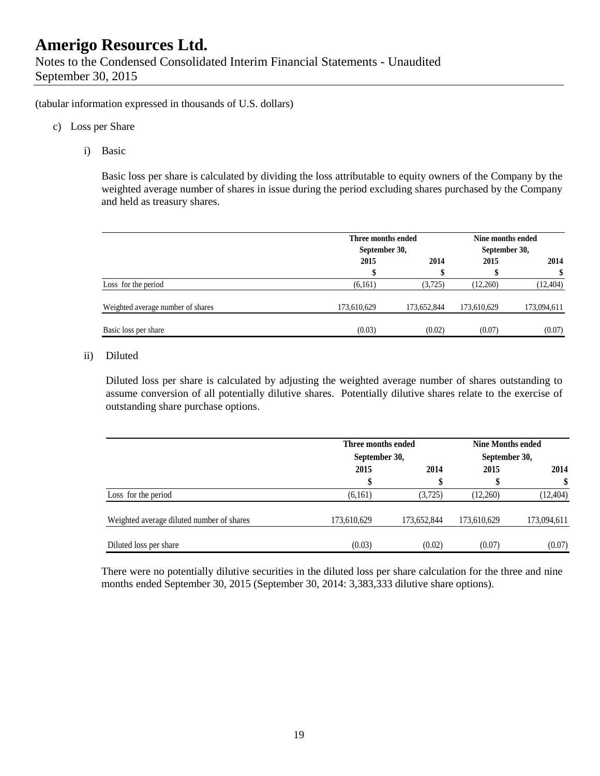(tabular information expressed in thousands of U.S. dollars)

- c) Loss per Share
	- i) Basic

Basic loss per share is calculated by dividing the loss attributable to equity owners of the Company by the weighted average number of shares in issue during the period excluding shares purchased by the Company and held as treasury shares.

|                                   | Three months ended<br>September 30, |             |             | Nine months ended<br>September 30, |  |
|-----------------------------------|-------------------------------------|-------------|-------------|------------------------------------|--|
|                                   | 2015                                | 2014        | 2015        | 2014                               |  |
|                                   | \$                                  | ¢           |             |                                    |  |
| Loss for the period               | (6,161)                             | (3,725)     | (12,260)    | (12, 404)                          |  |
| Weighted average number of shares | 173,610,629                         | 173,652,844 | 173,610,629 | 173,094,611                        |  |
| Basic loss per share              | (0.03)                              | (0.02)      | (0.07)      | (0.07)                             |  |

### ii) Diluted

Diluted loss per share is calculated by adjusting the weighted average number of shares outstanding to assume conversion of all potentially dilutive shares. Potentially dilutive shares relate to the exercise of outstanding share purchase options.

|                                           | Three months ended<br>September 30, |             | <b>Nine Months ended</b><br>September 30, |             |  |
|-------------------------------------------|-------------------------------------|-------------|-------------------------------------------|-------------|--|
|                                           | 2015                                | 2014        | 2015                                      | 2014        |  |
|                                           | \$                                  | \$          |                                           | \$          |  |
| Loss for the period                       | (6,161)                             | (3,725)     | (12,260)                                  | (12, 404)   |  |
| Weighted average diluted number of shares | 173,610,629                         | 173,652,844 | 173,610,629                               | 173,094,611 |  |
| Diluted loss per share                    | (0.03)                              | (0.02)      | (0.07)                                    | (0.07)      |  |

There were no potentially dilutive securities in the diluted loss per share calculation for the three and nine months ended September 30, 2015 (September 30, 2014: 3,383,333 dilutive share options).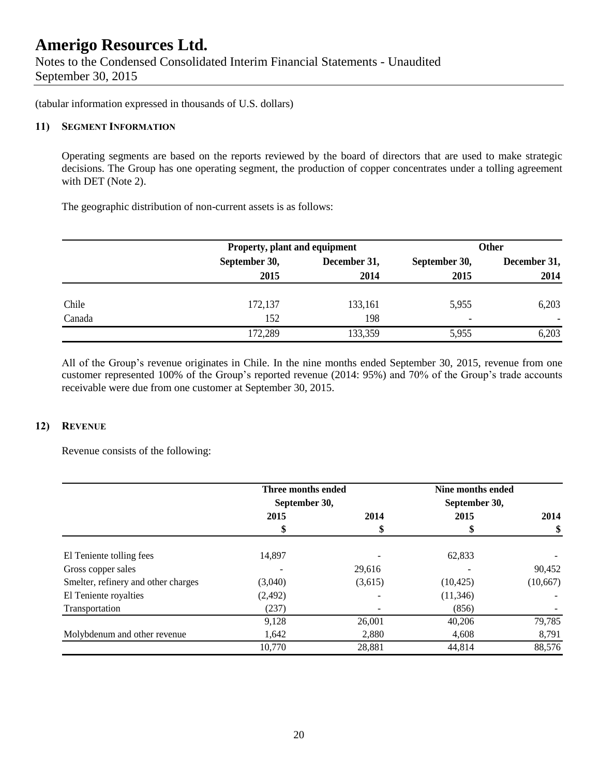Notes to the Condensed Consolidated Interim Financial Statements - Unaudited September 30, 2015

(tabular information expressed in thousands of U.S. dollars)

#### **11) SEGMENT INFORMATION**

Operating segments are based on the reports reviewed by the board of directors that are used to make strategic decisions. The Group has one operating segment, the production of copper concentrates under a tolling agreement with DET (Note 2).

The geographic distribution of non-current assets is as follows:

|        | Property, plant and equipment |              | <b>Other</b>             |              |  |
|--------|-------------------------------|--------------|--------------------------|--------------|--|
|        | September 30,                 | December 31, |                          | December 31, |  |
|        | 2015                          | 2014         | 2015                     | 2014         |  |
| Chile  | 172,137                       | 133,161      | 5,955                    | 6,203        |  |
| Canada | 152                           | 198          | $\overline{\phantom{a}}$ |              |  |
|        | 172,289                       | 133,359      | 5,955                    | 6,203        |  |

All of the Group's revenue originates in Chile. In the nine months ended September 30, 2015, revenue from one customer represented 100% of the Group's reported revenue (2014: 95%) and 70% of the Group's trade accounts receivable were due from one customer at September 30, 2015.

### **12) REVENUE**

Revenue consists of the following:

|                                     | Three months ended<br>September 30, |         | Nine months ended<br>September 30, |           |
|-------------------------------------|-------------------------------------|---------|------------------------------------|-----------|
|                                     | 2015                                | 2014    | 2015                               | 2014      |
|                                     | \$                                  |         |                                    | \$        |
| El Teniente tolling fees            | 14.897                              |         | 62,833                             |           |
| Gross copper sales                  |                                     | 29,616  |                                    | 90,452    |
| Smelter, refinery and other charges | (3,040)                             | (3,615) | (10, 425)                          | (10, 667) |
| El Teniente royalties               | (2, 492)                            |         | (11,346)                           |           |
| Transportation                      | (237)                               |         | (856)                              |           |
|                                     | 9,128                               | 26,001  | 40,206                             | 79,785    |
| Molybdenum and other revenue        | 1,642                               | 2,880   | 4,608                              | 8,791     |
|                                     | 10,770                              | 28,881  | 44,814                             | 88,576    |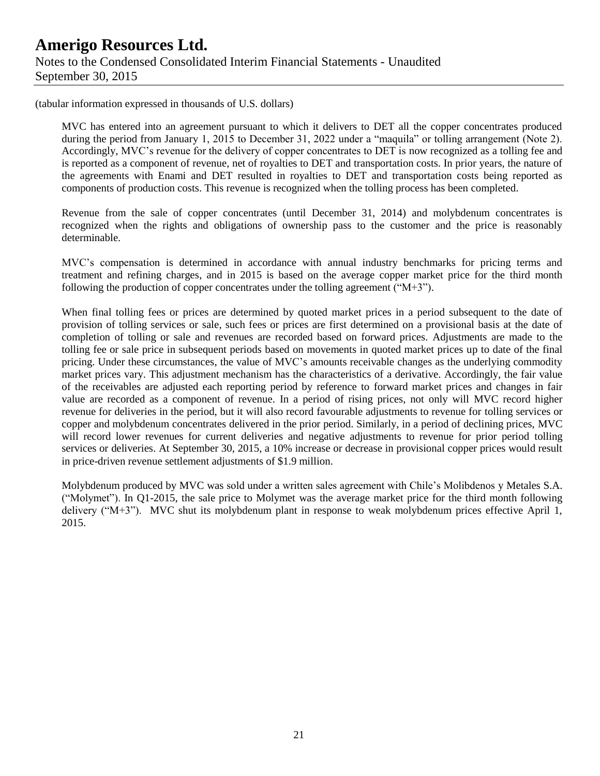(tabular information expressed in thousands of U.S. dollars)

MVC has entered into an agreement pursuant to which it delivers to DET all the copper concentrates produced during the period from January 1, 2015 to December 31, 2022 under a "maquila" or tolling arrangement (Note 2). Accordingly, MVC's revenue for the delivery of copper concentrates to DET is now recognized as a tolling fee and is reported as a component of revenue, net of royalties to DET and transportation costs. In prior years, the nature of the agreements with Enami and DET resulted in royalties to DET and transportation costs being reported as components of production costs. This revenue is recognized when the tolling process has been completed.

Revenue from the sale of copper concentrates (until December 31, 2014) and molybdenum concentrates is recognized when the rights and obligations of ownership pass to the customer and the price is reasonably determinable.

MVC's compensation is determined in accordance with annual industry benchmarks for pricing terms and treatment and refining charges, and in 2015 is based on the average copper market price for the third month following the production of copper concentrates under the tolling agreement (" $M+3$ ").

When final tolling fees or prices are determined by quoted market prices in a period subsequent to the date of provision of tolling services or sale, such fees or prices are first determined on a provisional basis at the date of completion of tolling or sale and revenues are recorded based on forward prices. Adjustments are made to the tolling fee or sale price in subsequent periods based on movements in quoted market prices up to date of the final pricing. Under these circumstances, the value of MVC's amounts receivable changes as the underlying commodity market prices vary. This adjustment mechanism has the characteristics of a derivative. Accordingly, the fair value of the receivables are adjusted each reporting period by reference to forward market prices and changes in fair value are recorded as a component of revenue. In a period of rising prices, not only will MVC record higher revenue for deliveries in the period, but it will also record favourable adjustments to revenue for tolling services or copper and molybdenum concentrates delivered in the prior period. Similarly, in a period of declining prices, MVC will record lower revenues for current deliveries and negative adjustments to revenue for prior period tolling services or deliveries. At September 30, 2015, a 10% increase or decrease in provisional copper prices would result in price-driven revenue settlement adjustments of \$1.9 million.

Molybdenum produced by MVC was sold under a written sales agreement with Chile's Molibdenos y Metales S.A. ("Molymet"). In Q1-2015, the sale price to Molymet was the average market price for the third month following delivery ("M+3"). MVC shut its molybdenum plant in response to weak molybdenum prices effective April 1, 2015.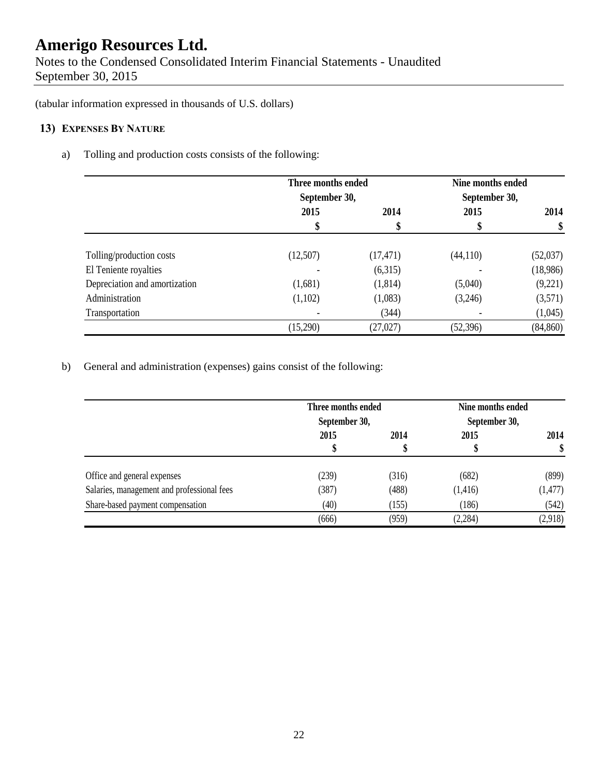Notes to the Condensed Consolidated Interim Financial Statements - Unaudited September 30, 2015

(tabular information expressed in thousands of U.S. dollars)

### **13) EXPENSES BY NATURE**

a) Tolling and production costs consists of the following:

|                               | Three months ended<br>September 30, |           | Nine months ended<br>September 30, |           |
|-------------------------------|-------------------------------------|-----------|------------------------------------|-----------|
|                               | 2015                                | 2014      | 2015                               | 2014      |
|                               | \$                                  |           |                                    | \$        |
| Tolling/production costs      | (12,507)                            | (17, 471) | (44,110)                           | (52,037)  |
| El Teniente royalties         |                                     | (6,315)   |                                    | (18,986)  |
| Depreciation and amortization | (1,681)                             | (1,814)   | (5,040)                            | (9,221)   |
| Administration                | (1,102)                             | (1,083)   | (3,246)                            | (3,571)   |
| Transportation                |                                     | (344)     |                                    | (1,045)   |
|                               | (15,290)                            | (27, 027) | (52, 396)                          | (84, 860) |

b) General and administration (expenses) gains consist of the following:

|                                            | Three months ended<br>September 30, |       | Nine months ended<br>September 30, |          |
|--------------------------------------------|-------------------------------------|-------|------------------------------------|----------|
|                                            | 2015                                | 2014  | 2015                               | 2014     |
| Office and general expenses                | (239)                               | (316) | (682)                              | (899)    |
| Salaries, management and professional fees | (387)                               | (488) | (1, 416)                           | (1, 477) |
| Share-based payment compensation           | (40)                                | (155) | (186)                              | (542)    |
|                                            | (666)                               | (959) | (2, 284)                           | (2,918)  |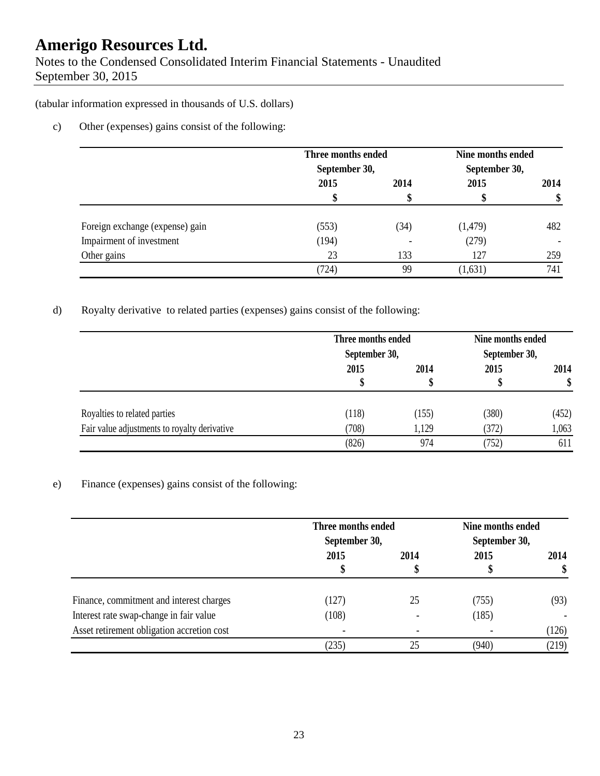Notes to the Condensed Consolidated Interim Financial Statements - Unaudited September 30, 2015

(tabular information expressed in thousands of U.S. dollars)

c) Other (expenses) gains consist of the following:

|                                 | Three months ended<br>September 30, |      | Nine months ended<br>September 30, |      |
|---------------------------------|-------------------------------------|------|------------------------------------|------|
|                                 | 2015                                | 2014 | 2015                               | 2014 |
|                                 |                                     |      | Φ                                  | \$   |
| Foreign exchange (expense) gain | (553)                               | (34) | (1, 479)                           | 482  |
| Impairment of investment        | (194)                               |      | (279)                              |      |
| Other gains                     | 23                                  | 133  | 127                                | 259  |
|                                 | (724)                               | 99   | (1,631)                            | 741  |

d) Royalty derivative to related parties (expenses) gains consist of the following:

|                                              | Three months ended<br>September 30, |       | Nine months ended<br>September 30, |            |
|----------------------------------------------|-------------------------------------|-------|------------------------------------|------------|
|                                              | 2015<br>Φ                           | 2014  | 2015                               | 2014<br>\$ |
| Royalties to related parties                 | (118)                               | (155) | (380)                              | (452)      |
| Fair value adjustments to royalty derivative | (708)                               | 1,129 | (372)                              | 1,063      |
|                                              | (826)                               | 974   | (752)                              | 611        |

### e) Finance (expenses) gains consist of the following:

|                                                                                     | Three months ended<br>September 30, |      | Nine months ended<br>September 30, |            |
|-------------------------------------------------------------------------------------|-------------------------------------|------|------------------------------------|------------|
|                                                                                     | 2015                                | 2014 | 2015                               | 2014<br>\$ |
|                                                                                     |                                     | Φ    |                                    |            |
| Finance, commitment and interest charges<br>Interest rate swap-change in fair value | (127)<br>(108)                      | 25   | (755)<br>(185)                     | (93)       |
| Asset retirement obligation accretion cost                                          |                                     |      |                                    | (126)      |
|                                                                                     | (235)                               | 25   | (940)                              | (219)      |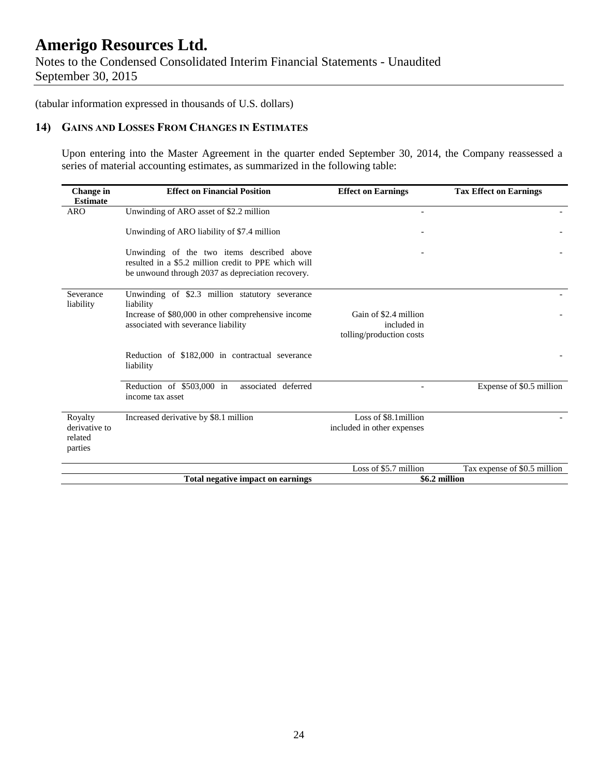Notes to the Condensed Consolidated Interim Financial Statements - Unaudited September 30, 2015

(tabular information expressed in thousands of U.S. dollars)

### **14) GAINS AND LOSSES FROM CHANGES IN ESTIMATES**

Upon entering into the Master Agreement in the quarter ended September 30, 2014, the Company reassessed a series of material accounting estimates, as summarized in the following table:

| Change in<br><b>Estimate</b>                   | <b>Effect on Financial Position</b>                                                                                                                     | <b>Effect on Earnings</b>                                        | <b>Tax Effect on Earnings</b> |
|------------------------------------------------|---------------------------------------------------------------------------------------------------------------------------------------------------------|------------------------------------------------------------------|-------------------------------|
| <b>ARO</b>                                     | Unwinding of ARO asset of \$2.2 million                                                                                                                 |                                                                  |                               |
|                                                | Unwinding of ARO liability of \$7.4 million                                                                                                             |                                                                  |                               |
|                                                | Unwinding of the two items described above<br>resulted in a \$5.2 million credit to PPE which will<br>be unwound through 2037 as depreciation recovery. |                                                                  |                               |
| Severance<br>liability                         | Unwinding of \$2.3 million statutory severance<br>liability                                                                                             |                                                                  |                               |
|                                                | Increase of \$80,000 in other comprehensive income<br>associated with severance liability                                                               | Gain of \$2.4 million<br>included in<br>tolling/production costs |                               |
|                                                | Reduction of \$182,000 in contractual severance<br>liability                                                                                            |                                                                  |                               |
|                                                | Reduction of \$503,000 in<br>associated deferred<br>income tax asset                                                                                    |                                                                  | Expense of \$0.5 million      |
| Royalty<br>derivative to<br>related<br>parties | Increased derivative by \$8.1 million                                                                                                                   | Loss of \$8.1million<br>included in other expenses               |                               |
|                                                |                                                                                                                                                         | Loss of \$5.7 million                                            | Tax expense of \$0.5 million  |
|                                                | Total negative impact on earnings                                                                                                                       | \$6.2 million                                                    |                               |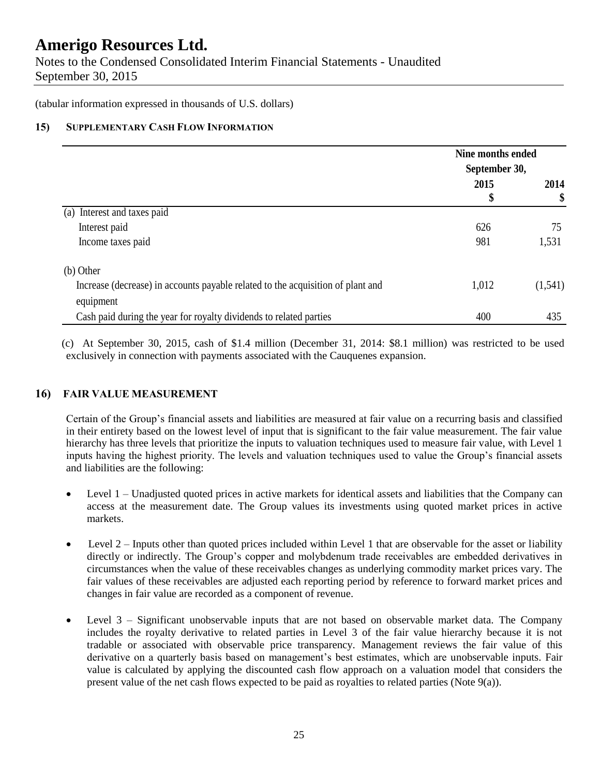Notes to the Condensed Consolidated Interim Financial Statements - Unaudited September 30, 2015

(tabular information expressed in thousands of U.S. dollars)

### **15) SUPPLEMENTARY CASH FLOW INFORMATION**

|                                                                                 |            | Nine months ended<br>September 30, |  |
|---------------------------------------------------------------------------------|------------|------------------------------------|--|
|                                                                                 | 2015<br>\$ | 2014<br>\$                         |  |
| (a) Interest and taxes paid                                                     |            |                                    |  |
| Interest paid                                                                   | 626        | 75                                 |  |
| Income taxes paid                                                               | 981        | 1,531                              |  |
| (b) Other                                                                       |            |                                    |  |
| Increase (decrease) in accounts payable related to the acquisition of plant and | 1,012      | (1,541)                            |  |
| equipment                                                                       |            |                                    |  |
| Cash paid during the year for royalty dividends to related parties              | 400        | 435                                |  |

(c) At September 30, 2015, cash of \$1.4 million (December 31, 2014: \$8.1 million) was restricted to be used exclusively in connection with payments associated with the Cauquenes expansion.

### **16) FAIR VALUE MEASUREMENT**

Certain of the Group's financial assets and liabilities are measured at fair value on a recurring basis and classified in their entirety based on the lowest level of input that is significant to the fair value measurement. The fair value hierarchy has three levels that prioritize the inputs to valuation techniques used to measure fair value, with Level 1 inputs having the highest priority. The levels and valuation techniques used to value the Group's financial assets and liabilities are the following:

- Level 1 Unadjusted quoted prices in active markets for identical assets and liabilities that the Company can access at the measurement date. The Group values its investments using quoted market prices in active markets.
- Level 2 Inputs other than quoted prices included within Level 1 that are observable for the asset or liability directly or indirectly. The Group's copper and molybdenum trade receivables are embedded derivatives in circumstances when the value of these receivables changes as underlying commodity market prices vary. The fair values of these receivables are adjusted each reporting period by reference to forward market prices and changes in fair value are recorded as a component of revenue.
- Level 3 Significant unobservable inputs that are not based on observable market data. The Company includes the royalty derivative to related parties in Level 3 of the fair value hierarchy because it is not tradable or associated with observable price transparency. Management reviews the fair value of this derivative on a quarterly basis based on management's best estimates, which are unobservable inputs. Fair value is calculated by applying the discounted cash flow approach on a valuation model that considers the present value of the net cash flows expected to be paid as royalties to related parties (Note 9(a)).